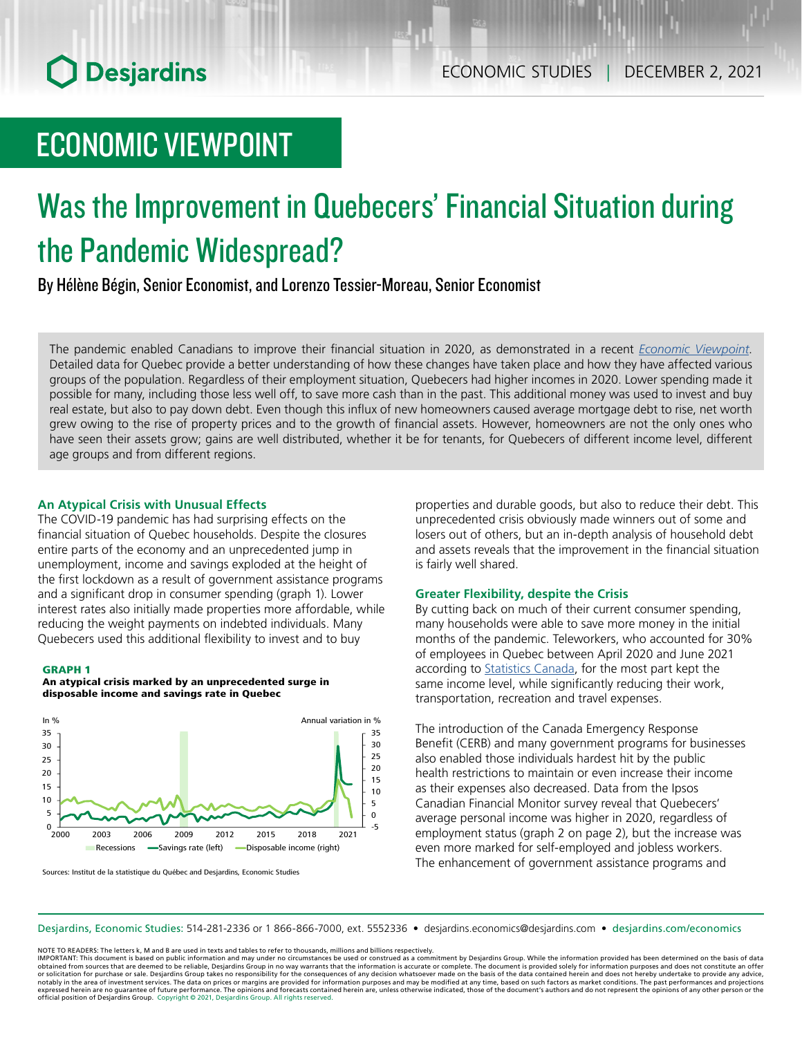## ECONOMIC VIEWPOINT

# Was the Improvement in Quebecers' Financial Situation during the Pandemic Widespread?

By Hélène Bégin, Senior Economist, and Lorenzo Tessier-Moreau, Senior Economist

The pandemic enabled Canadians to improve their financial situation in 2020, as demonstrated in a recent *Economic [Viewpoint](https://www.desjardins.com/ressources/pdf/pv110121e.pdf?resVer=1635774549000)*. Detailed data for Quebec provide a better understanding of how these changes have taken place and how they have affected various groups of the population. Regardless of their employment situation, Quebecers had higher incomes in 2020. Lower spending made it possible for many, including those less well off, to save more cash than in the past. This additional money was used to invest and buy real estate, but also to pay down debt. Even though this influx of new homeowners caused average mortgage debt to rise, net worth grew owing to the rise of property prices and to the growth of financial assets. However, homeowners are not the only ones who have seen their assets grow; gains are well distributed, whether it be for tenants, for Quebecers of different income level, different age groups and from different regions.

### **An Atypical Crisis with Unusual Effects**

The COVID-19 pandemic has had surprising effects on the financial situation of Quebec households. Despite the closures entire parts of the economy and an unprecedented jump in unemployment, income and savings exploded at the height of the first lockdown as a result of government assistance programs and a significant drop in consumer spending (graph 1). Lower interest rates also initially made properties more affordable, while reducing the weight payments on indebted individuals. Many Quebecers used this additional flexibility to invest and to buy

#### GRAPH 1





Sources: Institut de la statistique du Québec and Desjardins, Economic Studies

properties and durable goods, but also to reduce their debt. This unprecedented crisis obviously made winners out of some and losers out of others, but an in-depth analysis of household debt and assets reveals that the improvement in the financial situation is fairly well shared.

#### **Greater Flexibility, despite the Crisis**

By cutting back on much of their current consumer spending, many households were able to save more money in the initial months of the pandemic. Teleworkers, who accounted for 30% of employees in Quebec between April 2020 and June 2021 according to [Statistics](https://www150.statcan.gc.ca/n1/daily-quotidien/210804/dq210804b-eng.htm) Canada, for the most part kept the same income level, while significantly reducing their work, transportation, recreation and travel expenses.

The introduction of the Canada Emergency Response Benefit (CERB) and many government programs for businesses also enabled those individuals hardest hit by the public health restrictions to maintain or even increase their income as their expenses also decreased. Data from the Ipsos Canadian Financial Monitor survey reveal that Quebecers' average personal income was higher in 2020, regardless of employment status (graph 2 on page 2), but the increase was even more marked for self-employed and jobless workers. The enhancement of government assistance programs and

Desjardins, Economic Studies: 514‑281‑2336 or 1 866‑866‑7000, ext. 5552336 • desjardins.economics@desjardins.com • [desjardins.com/economics](http://desjardins.com/economics)

NOTE TO READERS: The letters k, M and B are used in texts and tables to refer to thousands, millions and billions respectively.

IMPORTANT: This document is based on public information and may under no circumstances be used or construed as a commitment by Desjardins Group. While the information provided has been determined on the basis of data<br>obtai notably in the area of investment services. The data on prices or margins are provided for information purposes and may be modified at any time, based on such factors as market conditions. The past performances and project expressed herein are no guarantee of future performance. The opinions and forecasts contained herein are, unless otherwise indicated, those of the document's authors and do not represent the opinions of any other person or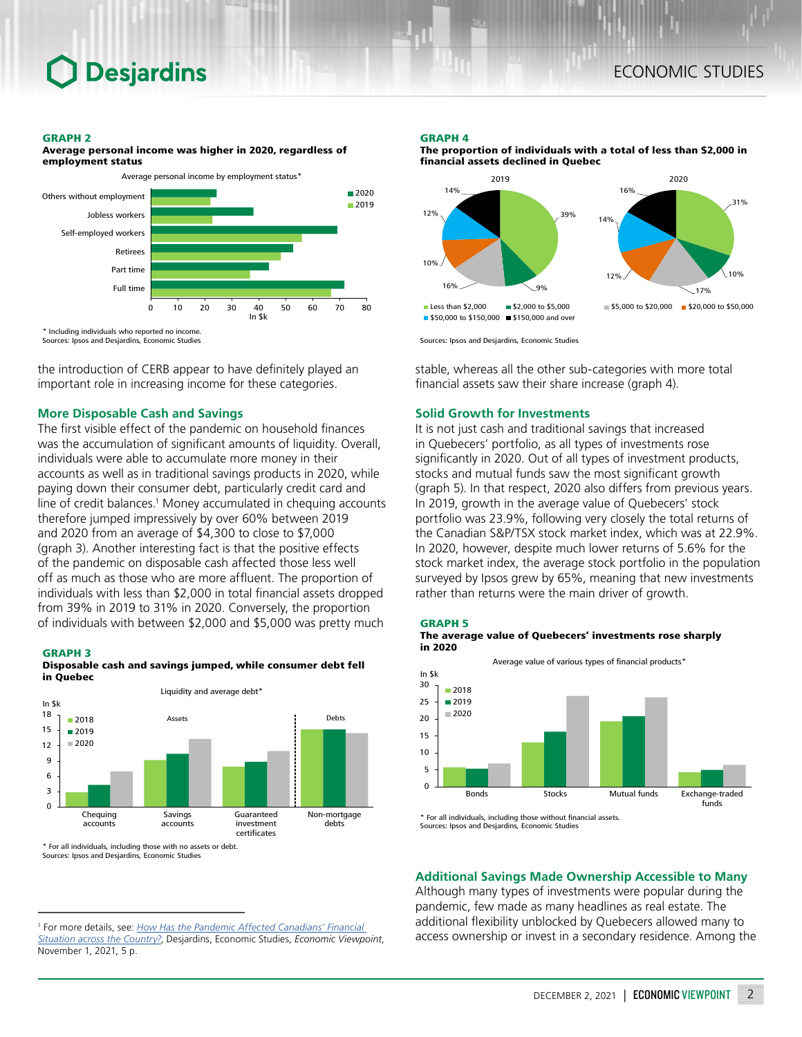#### GRAPH 2

Average personal income was higher in 2020, regardless of employment status



Sources: Ipsos and Desjardins, Economic Studies

the introduction of CERB appear to have definitely played an important role in increasing income for these categories.

## **More Disposable Cash and Savings**

The first visible effect of the pandemic on household finances was the accumulation of significant amounts of liquidity. Overall, individuals were able to accumulate more money in their accounts as well as in traditional savings products in 2020, while paying down their consumer debt, particularly credit card and line of credit balances.<sup>1</sup> Money accumulated in chequing accounts therefore jumped impressively by over 60% between 2019 and 2020 from an average of \$4,300 to close to \$7,000 (graph 3). Another interesting fact is that the positive effects of the pandemic on disposable cash affected those less well off as much as those who are more affluent. The proportion of individuals with less than \$2,000 in total financial assets dropped from 39% in 2019 to 31% in 2020. Conversely, the proportion of individuals with between \$2,000 and \$5,000 was pretty much

#### GRAPH 3

Disposable cash and savings jumped, while consumer debt fell in Quebec



\* For all individuals, including those with no assets or debt. Sources: Ipsos and Desjardins, Economic Studies

1 For more details, see: *[How Has the Pandemic Affected Canadians' Financial](https://www.desjardins.com/ressources/pdf/pv110121e.pdf?resVer=1635774549000)  [Situation across the Country?](https://www.desjardins.com/ressources/pdf/pv110121e.pdf?resVer=1635774549000)*, Desjardins, Economic Studies, *Economic Viewpoint*, November 1, 2021, 5 p.

#### GRAPH 4



The proportion of individuals with a total of less than \$2,000 in financial assets declined in Quebec



stable, whereas all the other sub-categories with more total financial assets saw their share increase (graph 4).

### **Solid Growth for Investments**

It is not just cash and traditional savings that increased in Quebecers' portfolio, as all types of investments rose significantly in 2020. Out of all types of investment products, stocks and mutual funds saw the most significant growth (graph 5). In that respect, 2020 also differs from previous years. In 2019, growth in the average value of Quebecers' stock portfolio was 23.9%, following very closely the total returns of the Canadian S&P/TSX stock market index, which was at 22.9%. In 2020, however, despite much lower returns of 5.6% for the stock market index, the average stock portfolio in the population surveyed by Ipsos grew by 65%, meaning that new investments rather than returns were the main driver of growth.





\* For all individuals, including those without financial assets. Sources: Ipsos and Desjardins, Economic Studies

## **Additional Savings Made Ownership Accessible to Many**

Although many types of investments were popular during the pandemic, few made as many headlines as real estate. The additional flexibility unblocked by Quebecers allowed many to access ownership or invest in a secondary residence. Among the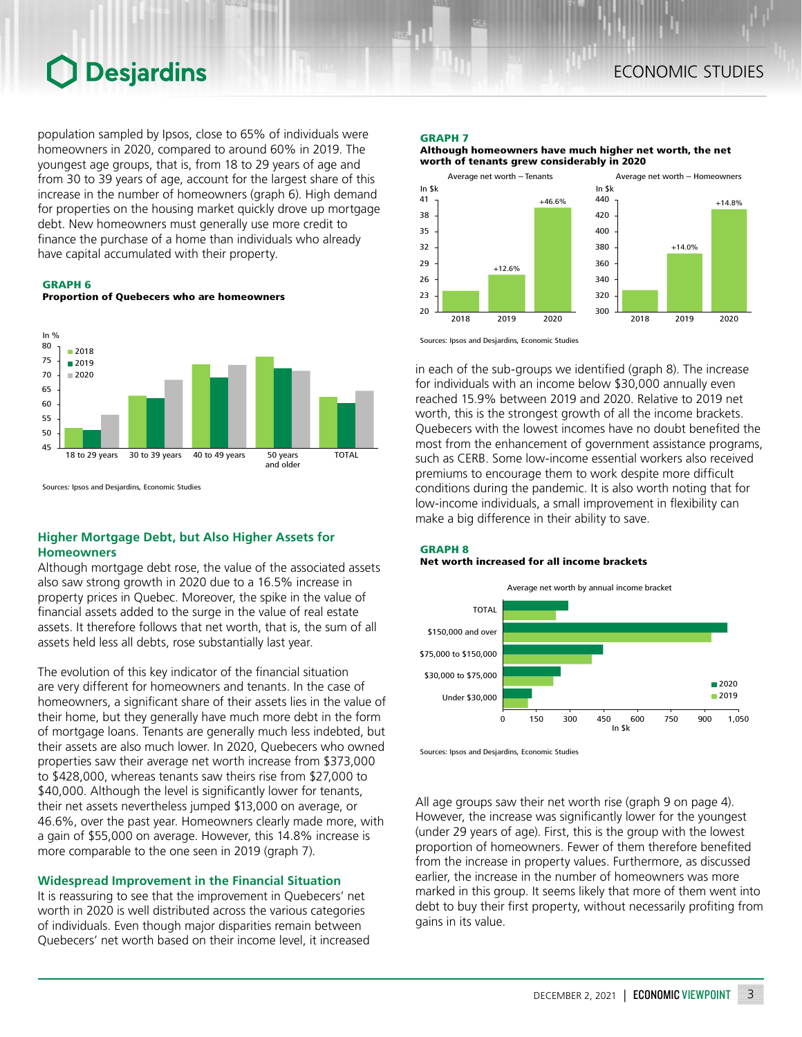population sampled by Ipsos, close to 65% of individuals were homeowners in 2020, compared to around 60% in 2019. The youngest age groups, that is, from 18 to 29 years of age and from 30 to 39 years of age, account for the largest share of this increase in the number of homeowners (graph 6). High demand for properties on the housing market quickly drove up mortgage debt. New homeowners must generally use more credit to finance the purchase of a home than individuals who already have capital accumulated with their property.

GRAPH 6

Proportion of Quebecers who are homeowners



Sources: Ipsos and Desjardins, Economic Studies

## **Higher Mortgage Debt, but Also Higher Assets for Homeowners**

Although mortgage debt rose, the value of the associated assets also saw strong growth in 2020 due to a 16.5% increase in property prices in Quebec. Moreover, the spike in the value of financial assets added to the surge in the value of real estate assets. It therefore follows that net worth, that is, the sum of all assets held less all debts, rose substantially last year.

The evolution of this key indicator of the financial situation are very different for homeowners and tenants. In the case of homeowners, a significant share of their assets lies in the value of their home, but they generally have much more debt in the form of mortgage loans. Tenants are generally much less indebted, but their assets are also much lower. In 2020, Quebecers who owned properties saw their average net worth increase from \$373,000 to \$428,000, whereas tenants saw theirs rise from \$27,000 to \$40,000. Although the level is significantly lower for tenants, their net assets nevertheless jumped \$13,000 on average, or 46.6%, over the past year. Homeowners clearly made more, with a gain of \$55,000 on average. However, this 14.8% increase is more comparable to the one seen in 2019 (graph 7).

#### **Widespread Improvement in the Financial Situation**

It is reassuring to see that the improvement in Quebecers' net worth in 2020 is well distributed across the various categories of individuals. Even though major disparities remain between Quebecers' net worth based on their income level, it increased

#### GRAPH 7

Although homeowners have much higher net worth, the net worth of tenants grew considerably in 2020



Sources: Ipsos and Desjardins, Economic Studies

in each of the sub-groups we identified (graph 8). The increase for individuals with an income below \$30,000 annually even reached 15.9% between 2019 and 2020. Relative to 2019 net worth, this is the strongest growth of all the income brackets. Quebecers with the lowest incomes have no doubt benefited the most from the enhancement of government assistance programs, such as CERB. Some low-income essential workers also received premiums to encourage them to work despite more difficult conditions during the pandemic. It is also worth noting that for low-income individuals, a small improvement in flexibility can make a big difference in their ability to save.

#### GRAPH 8 Net worth increased for all income brackets



Sources: Ipsos and Desjardins, Economic Studies

All age groups saw their net worth rise (graph 9 on page 4). However, the increase was significantly lower for the youngest (under 29 years of age). First, this is the group with the lowest proportion of homeowners. Fewer of them therefore benefited from the increase in property values. Furthermore, as discussed earlier, the increase in the number of homeowners was more marked in this group. It seems likely that more of them went into debt to buy their first property, without necessarily profiting from gains in its value.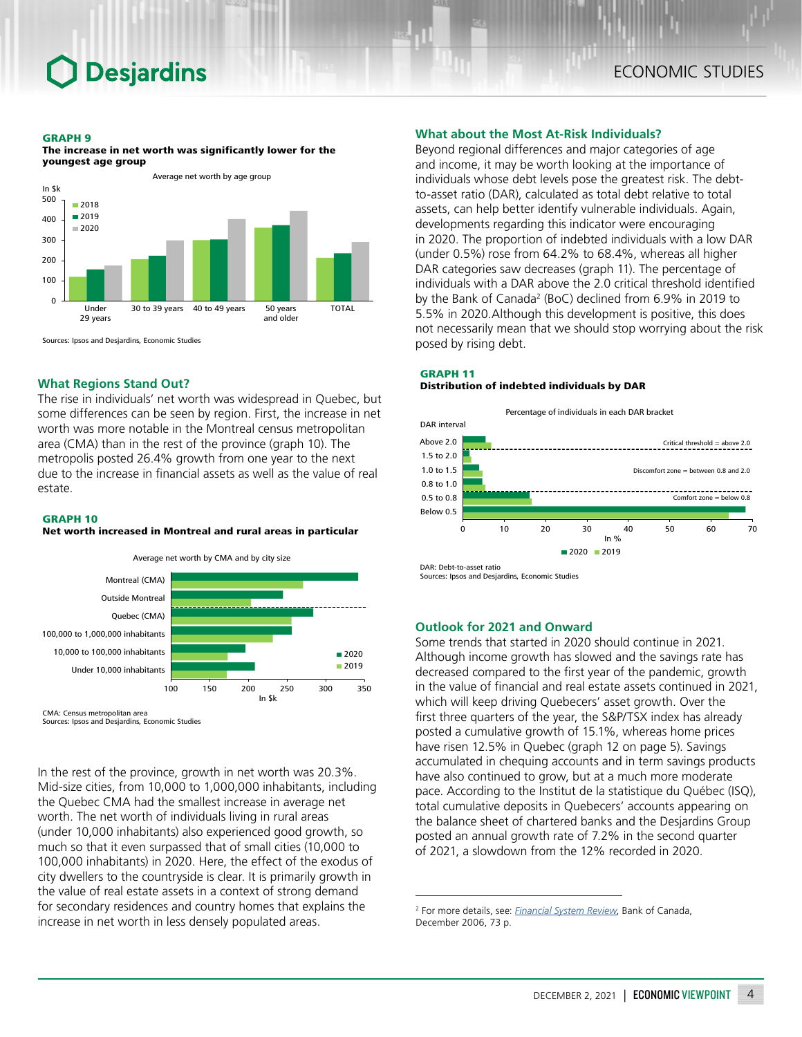#### GRAPH 9



The increase in net worth was significantly lower for the youngest age group



### **What Regions Stand Out?**

The rise in individuals' net worth was widespread in Quebec, but some differences can be seen by region. First, the increase in net worth was more notable in the Montreal census metropolitan area (CMA) than in the rest of the province (graph 10). The metropolis posted 26.4% growth from one year to the next due to the increase in financial assets as well as the value of real estate.

#### GRAPH 10

#### Net worth increased in Montreal and rural areas in particular



CMA: Census metropolitan area Sources: Ipsos and Desjardins, Economic Studies

In the rest of the province, growth in net worth was 20.3%. Mid-size cities, from 10,000 to 1,000,000 inhabitants, including the Quebec CMA had the smallest increase in average net worth. The net worth of individuals living in rural areas (under 10,000 inhabitants) also experienced good growth, so much so that it even surpassed that of small cities (10,000 to 100,000 inhabitants) in 2020. Here, the effect of the exodus of city dwellers to the countryside is clear. It is primarily growth in the value of real estate assets in a context of strong demand for secondary residences and country homes that explains the increase in net worth in less densely populated areas.

## **What about the Most At-Risk Individuals?**

Beyond regional differences and major categories of age and income, it may be worth looking at the importance of individuals whose debt levels pose the greatest risk. The debtto-asset ratio (DAR), calculated as total debt relative to total assets, can help better identify vulnerable individuals. Again, developments regarding this indicator were encouraging in 2020. The proportion of indebted individuals with a low DAR (under 0.5%) rose from 64.2% to 68.4%, whereas all higher DAR categories saw decreases (graph 11). The percentage of individuals with a DAR above the 2.0 critical threshold identified by the Bank of Canada<sup>2</sup> (BoC) declined from 6.9% in 2019 to 5.5% in 2020.Although this development is positive, this does not necessarily mean that we should stop worrying about the risk posed by rising debt.

#### GRAPH 11 Distribution of indebted individuals by DAR



DAR: Debt-to-asset ratio Sources: Ipsos and Desjardins, Economic Studies

## **Outlook for 2021 and Onward**

Some trends that started in 2020 should continue in 2021. Although income growth has slowed and the savings rate has decreased compared to the first year of the pandemic, growth in the value of financial and real estate assets continued in 2021, which will keep driving Quebecers' asset growth. Over the first three quarters of the year, the S&P/TSX index has already posted a cumulative growth of 15.1%, whereas home prices have risen 12.5% in Quebec (graph 12 on page 5). Savings accumulated in chequing accounts and in term savings products have also continued to grow, but at a much more moderate pace. According to the Institut de la statistique du Québec (ISQ), total cumulative deposits in Quebecers' accounts appearing on the balance sheet of chartered banks and the Desjardins Group posted an annual growth rate of 7.2% in the second quarter of 2021, a slowdown from the 12% recorded in 2020.

<sup>2</sup> For more details, see: *[Financial System Review](https://www.bankofcanada.ca/wp-content/uploads/2010/04/fsr_1206.pdf)*, Bank of Canada, December 2006, 73 p.